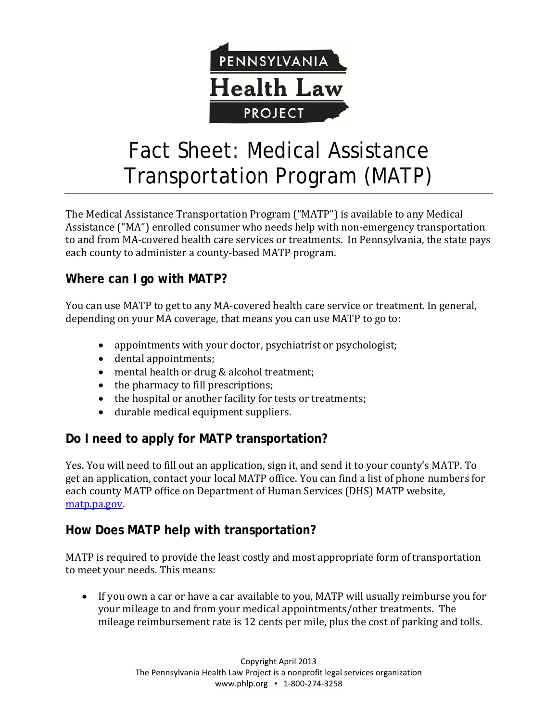

# Fact Sheet: Medical Assistance Transportation Program (MATP)

The Medical Assistance Transportation Program ("MATP") is available to any Medical Assistance ("MA") enrolled consumer who needs help with non-emergency transportation to and from MA-covered health care services or treatments. In Pennsylvania, the state pays each county to administer a county-based MATP program.

### **Where can I go with MATP?**

You can use MATP to get to any MA-covered health care service or treatment. In general, depending on your MA coverage, that means you can use MATP to go to:

- appointments with your doctor, psychiatrist or psychologist;
- dental appointments;
- mental health or drug & alcohol treatment;
- the pharmacy to fill prescriptions;
- the hospital or another facility for tests or treatments;
- durable medical equipment suppliers.

### **Do I need to apply for MATP transportation?**

Yes. You will need to fill out an application, sign it, and send it to your county's MATP. To get an application, contact your local MATP office. You can find a list of phone numbers for each county MATP office on Department of Human Services (DHS) MATP website, [matp.pa.gov.](http://matp.pa.gov/)

### **How Does MATP help with transportation?**

MATP is required to provide the least costly and most appropriate form of transportation to meet your needs. This means:

• If you own a car or have a car available to you, MATP will usually reimburse you for your mileage to and from your medical appointments/other treatments. The mileage reimbursement rate is 12 cents per mile, plus the cost of parking and tolls.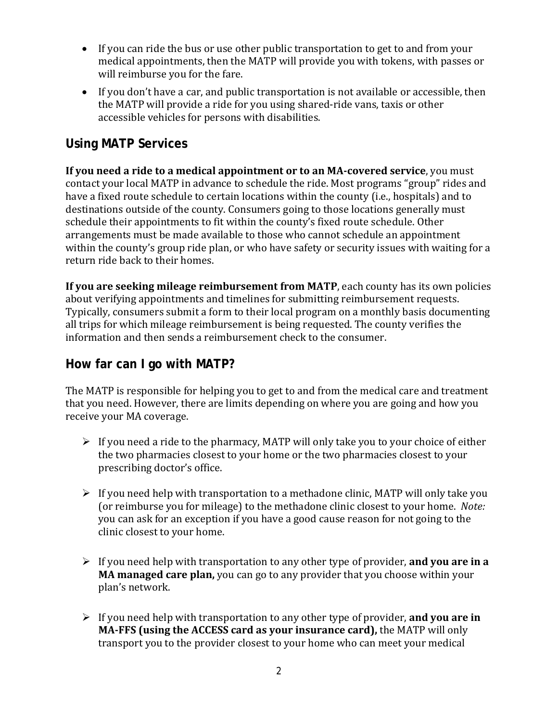- If you can ride the bus or use other public transportation to get to and from your medical appointments, then the MATP will provide you with tokens, with passes or will reimburse you for the fare.
- If you don't have a car, and public transportation is not available or accessible, then the MATP will provide a ride for you using shared-ride vans, taxis or other accessible vehicles for persons with disabilities.

### **Using MATP Services**

**If you need a ride to a medical appointment or to an MA-covered service**, you must contact your local MATP in advance to schedule the ride. Most programs "group" rides and have a fixed route schedule to certain locations within the county (i.e., hospitals) and to destinations outside of the county. Consumers going to those locations generally must schedule their appointments to fit within the county's fixed route schedule. Other arrangements must be made available to those who cannot schedule an appointment within the county's group ride plan, or who have safety or security issues with waiting for a return ride back to their homes.

**If you are seeking mileage reimbursement from MATP**, each county has its own policies about verifying appointments and timelines for submitting reimbursement requests. Typically, consumers submit a form to their local program on a monthly basis documenting all trips for which mileage reimbursement is being requested. The county verifies the information and then sends a reimbursement check to the consumer.

#### **How far can I go with MATP?**

The MATP is responsible for helping you to get to and from the medical care and treatment that you need. However, there are limits depending on where you are going and how you receive your MA coverage.

- $\triangleright$  If you need a ride to the pharmacy, MATP will only take you to your choice of either the two pharmacies closest to your home or the two pharmacies closest to your prescribing doctor's office.
- $\triangleright$  If you need help with transportation to a methadone clinic, MATP will only take you (or reimburse you for mileage) to the methadone clinic closest to your home. *Note:* you can ask for an exception if you have a good cause reason for not going to the clinic closest to your home.
- If you need help with transportation to any other type of provider, **and you are in a MA managed care plan,** you can go to any provider that you choose within your plan's network.
- If you need help with transportation to any other type of provider, **and you are in MA-FFS (using the ACCESS card as your insurance card),** the MATP will only transport you to the provider closest to your home who can meet your medical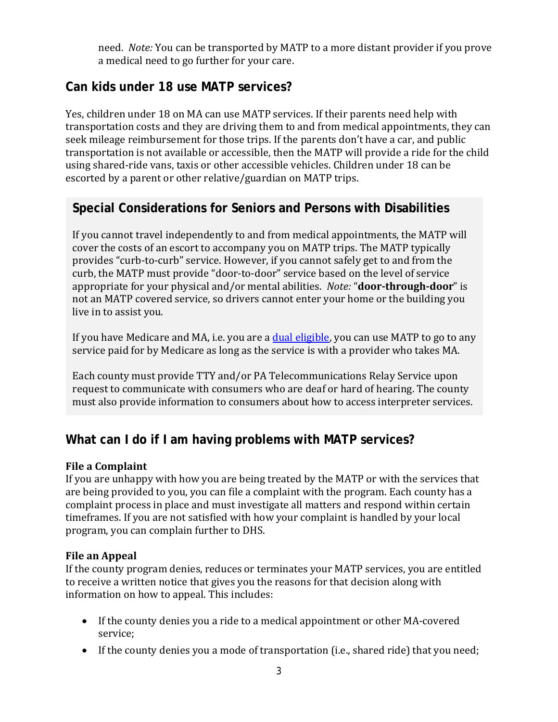need. *Note:* You can be transported by MATP to a more distant provider if you prove a medical need to go further for your care.

## **Can kids under 18 use MATP services?**

Yes, children under 18 on MA can use MATP services. If their parents need help with transportation costs and they are driving them to and from medical appointments, they can seek mileage reimbursement for those trips. If the parents don't have a car, and public transportation is not available or accessible, then the MATP will provide a ride for the child using shared-ride vans, taxis or other accessible vehicles. Children under 18 can be escorted by a parent or other relative/guardian on MATP trips.

#### **Special Considerations for Seniors and Persons with Disabilities**

If you cannot travel independently to and from medical appointments, the MATP will cover the costs of an escort to accompany you on MATP trips. The MATP typically provides "curb-to-curb" service. However, if you cannot safely get to and from the curb, the MATP must provide "door-to-door" service based on the level of service appropriate for your physical and/or mental abilities. *Note:* "**door-through-door**" is not an MATP covered service, so drivers cannot enter your home or the building you live in to assist you.

If you have Medicare and MA, i.e. you are a [dual eligible,](https://www.phlp.org/uploads/attachments/ck33ffdfo06v051u8jcbr0jns-dual-eligibles-guide-2013.pdf) you can use MATP to go to any service paid for by Medicare as long as the service is with a provider who takes MA.

Each county must provide TTY and/or PA Telecommunications Relay Service upon request to communicate with consumers who are deaf or hard of hearing. The county must also provide information to consumers about how to access interpreter services.

### **What can I do if I am having problems with MATP services?**

#### **File a Complaint**

If you are unhappy with how you are being treated by the MATP or with the services that are being provided to you, you can file a complaint with the program. Each county has a complaint process in place and must investigate all matters and respond within certain timeframes. If you are not satisfied with how your complaint is handled by your local program, you can complain further to DHS.

#### **File an Appeal**

If the county program denies, reduces or terminates your MATP services, you are entitled to receive a written notice that gives you the reasons for that decision along with information on how to appeal. This includes:

- If the county denies you a ride to a medical appointment or other MA-covered service;
- If the county denies you a mode of transportation (i.e., shared ride) that you need;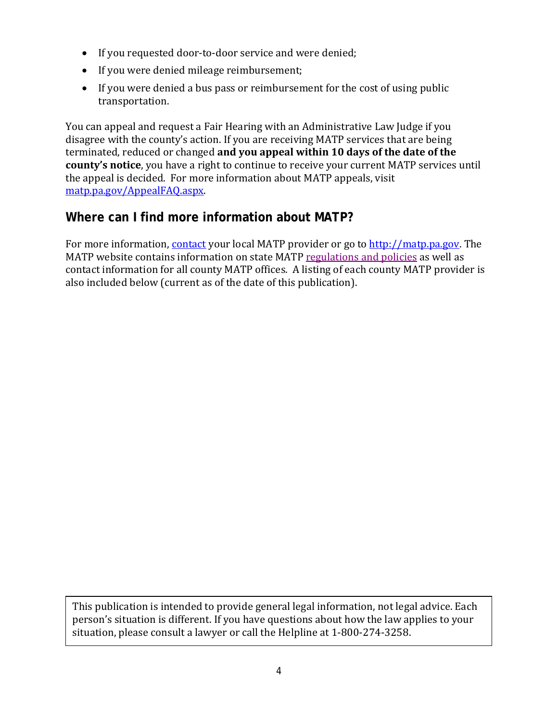- If you requested door-to-door service and were denied;
- If you were denied mileage reimbursement;
- If you were denied a bus pass or reimbursement for the cost of using public transportation.

You can appeal and request a Fair Hearing with an Administrative Law Judge if you disagree with the county's action. If you are receiving MATP services that are being terminated, reduced or changed **and you appeal within 10 days of the date of the county's notice**, you have a right to continue to receive your current MATP services until the appeal is decided. For more information about MATP appeals, visit [matp.pa.gov/AppealFAQ.aspx.](http://matp.pa.gov/AppealFAQ.aspx)

#### **Where can I find more information about MATP?**

For more information, contact your local MATP provider or go to [http://matp.pa.gov.](http://matp.pa.gov/) The MATP website contains information on state MATP [regulations and policies](http://matp.pa.gov/ProgramRules.aspx) as well as contact information for all county MATP offices. A listing of each county MATP provider is also included below (current as of the date of this publication).

This publication is intended to provide general legal information, not legal advice. Each person's situation is different. If you have questions about how the law applies to your situation, please consult a lawyer or call the Helpline at 1-800-274-3258.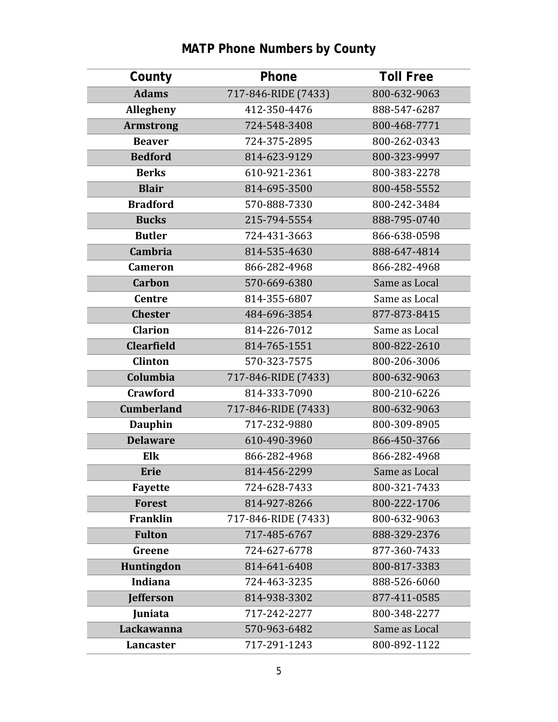| County            | Phone               | <b>Toll Free</b> |
|-------------------|---------------------|------------------|
| <b>Adams</b>      | 717-846-RIDE (7433) | 800-632-9063     |
| Allegheny         | 412-350-4476        | 888-547-6287     |
| <b>Armstrong</b>  | 724-548-3408        | 800-468-7771     |
| <b>Beaver</b>     | 724-375-2895        | 800-262-0343     |
| <b>Bedford</b>    | 814-623-9129        | 800-323-9997     |
| <b>Berks</b>      | 610-921-2361        | 800-383-2278     |
| <b>Blair</b>      | 814-695-3500        | 800-458-5552     |
| <b>Bradford</b>   | 570-888-7330        | 800-242-3484     |
| <b>Bucks</b>      | 215-794-5554        | 888-795-0740     |
| <b>Butler</b>     | 724-431-3663        | 866-638-0598     |
| <b>Cambria</b>    | 814-535-4630        | 888-647-4814     |
| <b>Cameron</b>    | 866-282-4968        | 866-282-4968     |
| <b>Carbon</b>     | 570-669-6380        | Same as Local    |
| <b>Centre</b>     | 814-355-6807        | Same as Local    |
| <b>Chester</b>    | 484-696-3854        | 877-873-8415     |
| <b>Clarion</b>    | 814-226-7012        | Same as Local    |
| <b>Clearfield</b> | 814-765-1551        | 800-822-2610     |
| <b>Clinton</b>    | 570-323-7575        | 800-206-3006     |
| Columbia          | 717-846-RIDE (7433) | 800-632-9063     |
| <b>Crawford</b>   | 814-333-7090        | 800-210-6226     |
| <b>Cumberland</b> | 717-846-RIDE (7433) | 800-632-9063     |
| <b>Dauphin</b>    | 717-232-9880        | 800-309-8905     |
| <b>Delaware</b>   | 610-490-3960        | 866-450-3766     |
| Elk               | 866-282-4968        | 866-282-4968     |
| Erie              | 814-456-2299        | Same as Local    |
| <b>Fayette</b>    | 724-628-7433        | 800-321-7433     |
| <b>Forest</b>     | 814-927-8266        | 800-222-1706     |
| Franklin          | 717-846-RIDE (7433) | 800-632-9063     |
| <b>Fulton</b>     | 717-485-6767        | 888-329-2376     |
| Greene            | 724-627-6778        | 877-360-7433     |
| Huntingdon        | 814-641-6408        | 800-817-3383     |
| Indiana           | 724-463-3235        | 888-526-6060     |
| <b>Jefferson</b>  | 814-938-3302        | 877-411-0585     |
| Juniata           | 717-242-2277        | 800-348-2277     |
| Lackawanna        | 570-963-6482        | Same as Local    |
| Lancaster         | 717-291-1243        | 800-892-1122     |

# **MATP Phone Numbers by County**